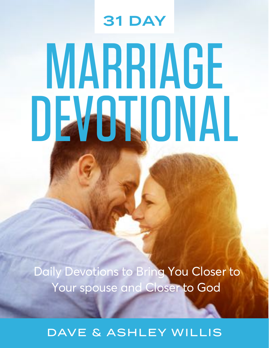# MARRIAGE DEVOTIONAL 31 DAY

Daily Devotions to Bring You Closer to Your spouse and Closer to God

DAVE & ASHLEY WILLIS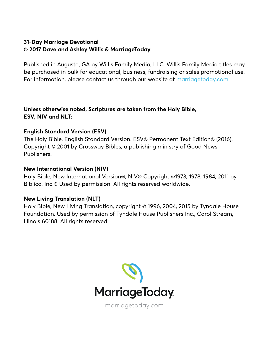#### **31-Day Marriage Devotional © 2017 Dave and Ashley Willis & MarriageToday**

Published in Augusta, GA by Willis Family Media, LLC. Willis Family Media titles may be purchased in bulk for educational, business, fundraising or sales promotional use. For information, please contact us through our website at [marriagetoday.com](https://marriagetoday.com)

**Unless otherwise noted, Scriptures are taken from the Holy Bible, ESV, NIV and NLT:**

#### **English Standard Version (ESV)**

The Holy Bible, English Standard Version. ESV® Permanent Text Edition® (2016). Copyright © 2001 by Crossway Bibles, a publishing ministry of Good News Publishers.

#### **New International Version (NIV)**

Holy Bible, New International Version®, NIV® Copyright ©1973, 1978, 1984, 2011 by Biblica, Inc.® Used by permission. All rights reserved worldwide.

#### **New Living Translation (NLT)**

Holy Bible, New Living Translation, copyright © 1996, 2004, 2015 by Tyndale House Foundation. Used by permission of Tyndale House Publishers Inc., Carol Stream, Illinois 60188. All rights reserved.



[marriagetoday.com](https://marriagetoday.com)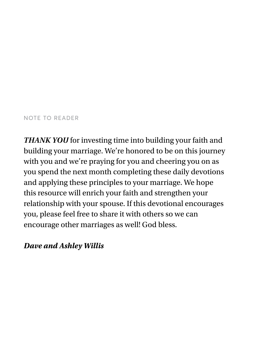#### NOTE TO READER

*THANK YOU* for investing time into building your faith and building your marriage. We're honored to be on this journey with you and we're praying for you and cheering you on as you spend the next month completing these daily devotions and applying these principles to your marriage. We hope this resource will enrich your faith and strengthen your relationship with your spouse. If this devotional encourages you, please feel free to share it with others so we can encourage other marriages as well! God bless.

#### *Dave and Ashley Willis*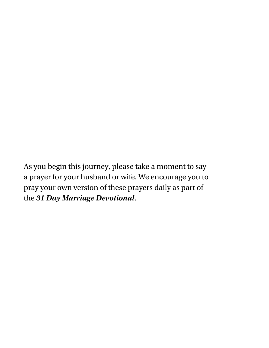As you begin this journey, please take a moment to say a prayer for your husband or wife. We encourage you to pray your own version of these prayers daily as part of the *31 Day Marriage Devotional*.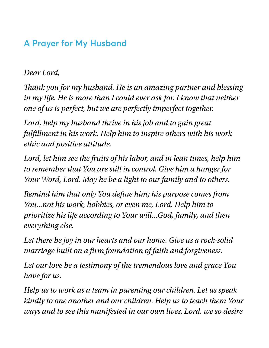### **A Prayer for My Husband**

#### *Dear Lord,*

*Tank you for my husband. He is an amazing partner and blessing in my life. He is more than I could ever ask for. I know that neither one of us is perfect, but we are perfectly imperfect together.*

*Lord, help my husband thrive in his job and to gain great fulfllment in his work. Help him to inspire others with his work ethic and positive attitude.*

*Lord, let him see the fruits of his labor, and in lean times, help him to remember that You are still in control. Give him a hunger for Your Word, Lord. May he be a light to our family and to others.*

*Remind him that only You defne him; his purpose comes from You...not his work, hobbies, or even me, Lord. Help him to prioritize his life according to Your will...God, family, and then everything else.*

*Let there be joy in our hearts and our home. Give us a rock-solid marriage built on a frm foundation of faith and forgiveness.*

*Let our love be a testimony of the tremendous love and grace You have for us.*

*Help us to work as a team in parenting our children. Let us speak kindly to one another and our children. Help us to teach them Your ways and to see this manifested in our own lives. Lord, we so desire*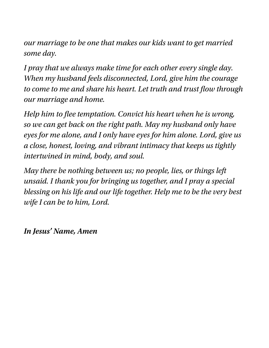*our marriage to be one that makes our kids want to get married some day.*

*I pray that we always make time for each other every single day. When my husband feels disconnected, Lord, give him the courage to come to me and share his heart. Let truth and trust fow through our marriage and home.*

*Help him to fee temptation. Convict his heart when he is wrong, so we can get back on the right path. May my husband only have eyes for me alone, and I only have eyes for him alone. Lord, give us a close, honest, loving, and vibrant intimacy that keeps us tightly intertwined in mind, body, and soul.*

*May there be nothing between us; no people, lies, or things left unsaid. I thank you for bringing us together, and I pray a special blessing on his life and our life together. Help me to be the very best wife I can be to him, Lord.*

*In Jesus' Name, Amen*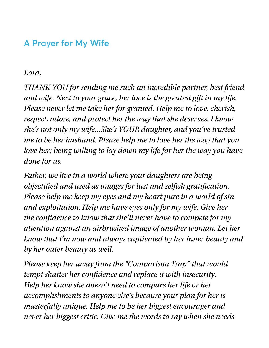### **A Prayer for My Wife**

#### *Lord,*

*THANK YOU for sending me such an incredible partner, best friend and wife. Next to your grace, her love is the greatest gift in my life. Please never let me take her for granted. Help me to love, cherish, respect, adore, and protect her the way that she deserves. I know she's not only my wife...She's YOUR daughter, and you've trusted me to be her husband. Please help me to love her the way that you love her; being willing to lay down my life for her the way you have done for us.*

*Father, we live in a world where your daughters are being objectifed and used as images for lust and selfsh gratifcation. Please help me keep my eyes and my heart pure in a world of sin and exploitation. Help me have eyes only for my wife. Give her the confdence to know that she'll never have to compete for my attention against an airbrushed image of another woman. Let her know that I'm now and always captivated by her inner beauty and by her outer beauty as well.*

*Please keep her away from the "Comparison Trap" that would tempt shatter her confdence and replace it with insecurity. Help her know she doesn't need to compare her life or her accomplishments to anyone else's because your plan for her is masterfully unique. Help me to be her biggest encourager and never her biggest critic. Give me the words to say when she needs*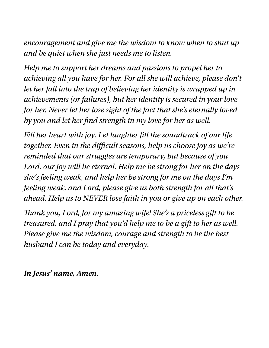*encouragement and give me the wisdom to know when to shut up and be quiet when she just needs me to listen.*

*Help me to support her dreams and passions to propel her to achieving all you have for her. For all she will achieve, please don't let her fall into the trap of believing her identity is wrapped up in achievements (or failures), but her identity is secured in your love for her. Never let her lose sight of the fact that she's eternally loved by you and let her fnd strength in my love for her as well.*

*Fill her heart with joy. Let laughter fll the soundtrack of our life together. Even in the difcult seasons, help us choose joy as we're reminded that our struggles are temporary, but because of you Lord, our joy will be eternal. Help me be strong for her on the days she's feeling weak, and help her be strong for me on the days I'm feeling weak, and Lord, please give us both strength for all that's ahead. Help us to NEVER lose faith in you or give up on each other.*

*Tank you, Lord, for my amazing wife! She's a priceless gift to be treasured, and I pray that you'd help me to be a gift to her as well. Please give me the wisdom, courage and strength to be the best husband I can be today and everyday.*

*In Jesus' name, Amen.*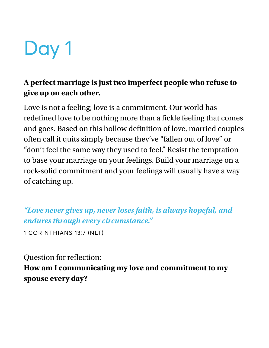

### **A perfect marriage is just two imperfect people who refuse to give up on each other.**

Love is not a feeling; love is a commitment. Our world has redefined love to be nothing more than a fickle feeling that comes and goes. Based on this hollow definition of love, married couples often call it quits simply because they've "fallen out of love" or "don't feel the same way they used to feel." Resist the temptation to base your marriage on your feelings. Build your marriage on a rock-solid commitment and your feelings will usually have a way of catching up.

*"Love never gives up, never loses faith, is always hopeful, and endures through every circumstance."*

1 CORINTHIANS 13∶7 (NLT)

Question for reflection: **How am I communicating my love and commitment to my spouse every day?**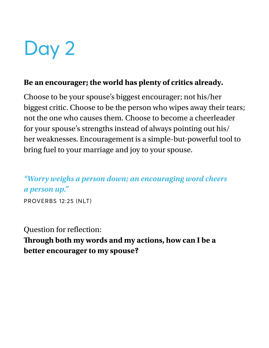#### **Be an encourager; the world has plenty of critics already.**

Choose to be your spouse's biggest encourager; not his/her biggest critic. Choose to be the person who wipes away their tears; not the one who causes them. Choose to become a cheerleader for your spouse's strengths instead of always pointing out his/ her weaknesses. Encouragement is a simple-but-powerful tool to bring fuel to your marriage and joy to your spouse.

### *"Worry weighs a person down; an encouraging word cheers a person up."*

PROVERBS 12∶25 (NLT)

Question for reflection: **Trough both my words and my actions, how can I be a better encourager to my spouse?**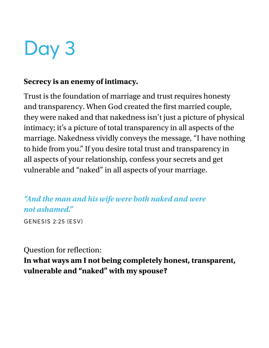#### **Secrecy is an enemy of intimacy.**

Trust is the foundation of marriage and trust requires honesty and transparency. When God created the frst married couple, they were naked and that nakedness isn't just a picture of physical intimacy; it's a picture of total transparency in all aspects of the marriage. Nakedness vividly conveys the message, "I have nothing to hide from you." If you desire total trust and transparency in all aspects of your relationship, confess your secrets and get vulnerable and "naked" in all aspects of your marriage.

*"And the man and his wife were both naked and were not ashamed."* 

GENESIS 2∶25 (ESV)

#### Question for reflection:

**In what ways am I not being completely honest, transparent, vulnerable and "naked" with my spouse?**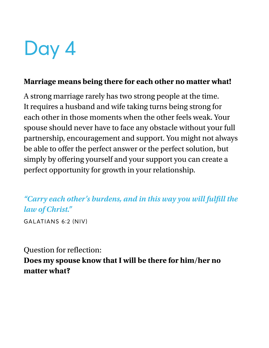#### **Marriage means being there for each other no matter what!**

A strong marriage rarely has two strong people at the time. It requires a husband and wife taking turns being strong for each other in those moments when the other feels weak. Your spouse should never have to face any obstacle without your full partnership, encouragement and support. You might not always be able to offer the perfect answer or the perfect solution, but simply by offering yourself and your support you can create a perfect opportunity for growth in your relationship.

*"Carry each other's burdens, and in this way you will ful***f***ll the law of Christ."*

GALATIANS 6∶2 (NIV)

### Question for refection:

**Does my spouse know that I will be there for him/her no matter what?**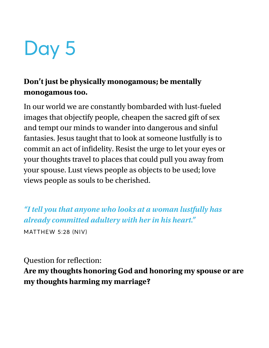### **Don't just be physically monogamous; be mentally monogamous too.**

In our world we are constantly bombarded with lust-fueled images that objectify people, cheapen the sacred gift of sex and tempt our minds to wander into dangerous and sinful fantasies. Jesus taught that to look at someone lustfully is to commit an act of infdelity. Resist the urge to let your eyes or your thoughts travel to places that could pull you away from your spouse. Lust views people as objects to be used; love views people as souls to be cherished.

*"I tell you that anyone who looks at a woman lustfully has already committed adultery with her in his heart."* MATTHEW 5∶28 (NIV)

Question for refection:

**Are my thoughts honoring God and honoring my spouse or are my thoughts harming my marriage?**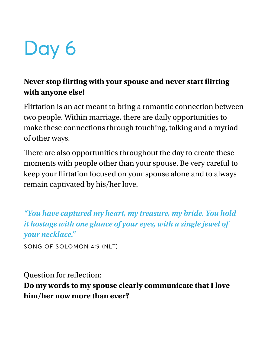### **Never stop firting with your spouse and never start firting with anyone else!**

Flirtation is an act meant to bring a romantic connection between two people. Within marriage, there are daily opportunities to make these connections through touching, talking and a myriad of other ways.

There are also opportunities throughout the day to create these moments with people other than your spouse. Be very careful to keep your firtation focused on your spouse alone and to always remain captivated by his/her love.

*"You have captured my heart, my treasure, my bride. You hold it hostage with one glance of your eyes, with a single jewel of your necklace."* 

SONG OF SOLOMON 4∶9 (NLT)

Question for reflection:

**Do my words to my spouse clearly communicate that I love him/her now more than ever?**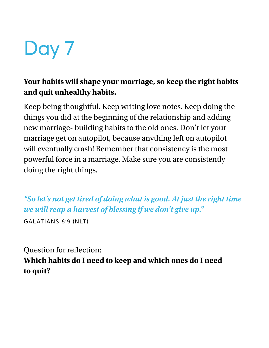### **Your habits will shape your marriage, so keep the right habits and quit unhealthy habits.**

Keep being thoughtful. Keep writing love notes. Keep doing the things you did at the beginning of the relationship and adding new marriage- building habits to the old ones. Don't let your marriage get on autopilot, because anything left on autopilot will eventually crash! Remember that consistency is the most powerful force in a marriage. Make sure you are consistently doing the right things.

*"So let's not get tired of doing what is good. At just the right time we will reap a harvest of blessing if we don't give up."*

GALATIANS 6∶9 (NLT)

Question for reflection: **Which habits do I need to keep and which ones do I need to quit?**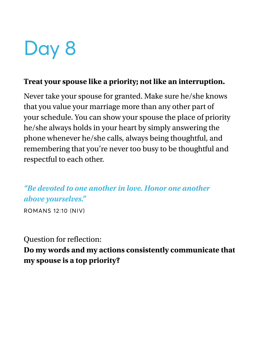#### **Treat your spouse like a priority; not like an interruption.**

Never take your spouse for granted. Make sure he/she knows that you value your marriage more than any other part of your schedule. You can show your spouse the place of priority he/she always holds in your heart by simply answering the phone whenever he/she calls, always being thoughtful, and remembering that you're never too busy to be thoughtful and respectful to each other.

*"Be devoted to one another in love. Honor one another above yourselves."*

ROMANS 12∶10 (NIV)

### Question for reflection:

**Do my words and my actions consistently communicate that my spouse is a top priority?**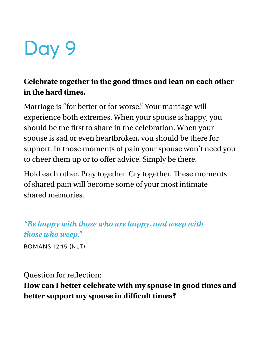

### **Celebrate together in the good times and lean on each other in the hard times.**

Marriage is "for better or for worse." Your marriage will experience both extremes. When your spouse is happy, you should be the first to share in the celebration. When your spouse is sad or even heartbroken, you should be there for support. In those moments of pain your spouse won't need you to cheer them up or to offer advice. Simply be there.

Hold each other. Pray together. Cry together. These moments of shared pain will become some of your most intimate shared memories.

*"Be happy with those who are happy, and weep with those who weep."*

ROMANS 12∶15 (NLT)

Question for refection:

**How can I better celebrate with my spouse in good times and better support my spouse in difcult times?**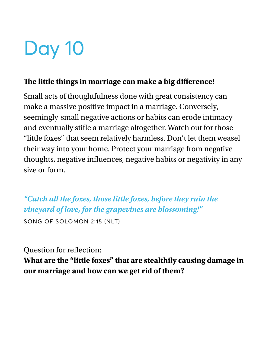#### **Te little things in marriage can make a big diference!**

Small acts of thoughtfulness done with great consistency can make a massive positive impact in a marriage. Conversely, seemingly-small negative actions or habits can erode intimacy and eventually stife a marriage altogether. Watch out for those "little foxes" that seem relatively harmless. Don't let them weasel their way into your home. Protect your marriage from negative thoughts, negative infuences, negative habits or negativity in any size or form.

*"Catch all the foxes, those little foxes, before they ruin the vineyard of love, for the grapevines are blossoming!"*

SONG OF SOLOMON 2∶15 (NLT)

Question for reflection:

**What are the "little foxes" that are stealthily causing damage in our marriage and how can we get rid of them?**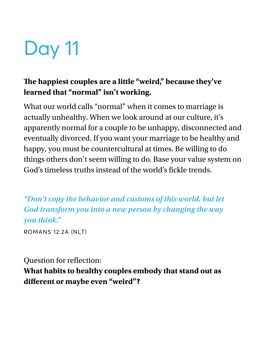### **Te happiest couples are a little "weird," because they've learned that "normal" isn't working.**

What our world calls "normal" when it comes to marriage is actually unhealthy. When we look around at our culture, it's apparently normal for a couple to be unhappy, disconnected and eventually divorced. If you want your marriage to be healthy and happy, you must be countercultural at times. Be willing to do things others don't seem willing to do. Base your value system on God's timeless truths instead of the world's fickle trends.

*"Don't copy the behavior and customs of this world, but let God transform you into a new person by changing the way you think."*

ROMANS 12∶2A (NLT)

Question for reflection:

**What habits to healthy couples embody that stand out as diferent or maybe even "weird"?**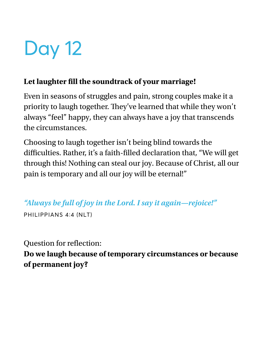### **Let laughter fll the soundtrack of your marriage!**

Even in seasons of struggles and pain, strong couples make it a priority to laugh together. They've learned that while they won't always "feel" happy, they can always have a joy that transcends the circumstances.

Choosing to laugh together isn't being blind towards the difficulties. Rather, it's a faith-filled declaration that, "We will get through this! Nothing can steal our joy. Because of Christ, all our pain is temporary and all our joy will be eternal!"

*"Always be full of joy in the Lord. I say it again—rejoice!"*

PHILIPPIANS 4∶4 (NLT)

Question for reflection:

**Do we laugh because of temporary circumstances or because of permanent joy?**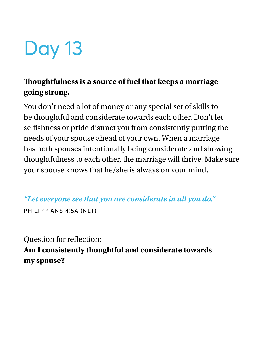### **Toughtfulness is a source of fuel that keeps a marriage going strong.**

You don't need a lot of money or any special set of skills to be thoughtful and considerate towards each other. Don't let selfishness or pride distract you from consistently putting the needs of your spouse ahead of your own. When a marriage has both spouses intentionally being considerate and showing thoughtfulness to each other, the marriage will thrive. Make sure your spouse knows that he/she is always on your mind.

*"Let everyone see that you are considerate in all you do."* PHILIPPIANS 4∶5A (NLT)

Question for reflection: **Am I consistently thoughtful and considerate towards my spouse?**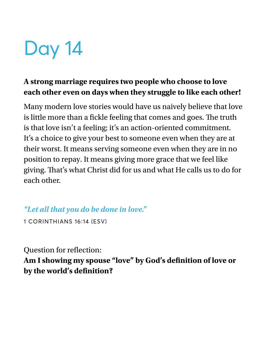### **A strong marriage requires two people who choose to love each other even on days when they struggle to like each other!**

Many modern love stories would have us naively believe that love is little more than a fickle feeling that comes and goes. The truth is that love isn't a feeling; it's an action-oriented commitment. It's a choice to give your best to someone even when they are at their worst. It means serving someone even when they are in no position to repay. It means giving more grace that we feel like giving. That's what Christ did for us and what He calls us to do for each other.

### *"Let all that you do be done in love."*

1 CORINTHIANS 16∶14 (ESV)

Question for reflection:

**Am I showing my spouse "love" by God's defnition of love or by the world's defnition?**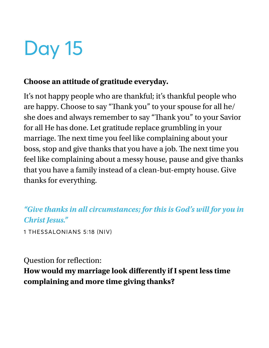#### **Choose an attitude of gratitude everyday.**

It's not happy people who are thankful; it's thankful people who are happy. Choose to say "Thank you" to your spouse for all he/ she does and always remember to say "Thank you" to your Savior for all He has done. Let gratitude replace grumbling in your marriage. The next time you feel like complaining about your boss, stop and give thanks that you have a job. The next time you feel like complaining about a messy house, pause and give thanks that you have a family instead of a clean-but-empty house. Give thanks for everything.

*"Give thanks in all circumstances; for this is God's will for you in Christ Jesus."*

1 THESSALONIANS 5∶18 (NIV)

Question for reflection:

**How would my marriage look diferently if I spent less time complaining and more time giving thanks?**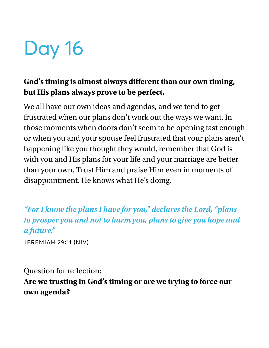### **God's timing is almost always diferent than our own timing, but His plans always prove to be perfect.**

We all have our own ideas and agendas, and we tend to get frustrated when our plans don't work out the ways we want. In those moments when doors don't seem to be opening fast enough or when you and your spouse feel frustrated that your plans aren't happening like you thought they would, remember that God is with you and His plans for your life and your marriage are better than your own. Trust Him and praise Him even in moments of disappointment. He knows what He's doing.

### *"For I know the plans I have for you," declares the Lord, "plans to prosper you and not to harm you, plans to give you hope and a future."*

JEREMIAH 29∶11 (NIV)

#### Question for reflection:

### **Are we trusting in God's timing or are we trying to force our own agenda?**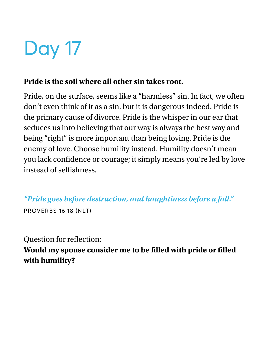#### **Pride is the soil where all other sin takes root.**

Pride, on the surface, seems like a "harmless" sin. In fact, we often don't even think of it as a sin, but it is dangerous indeed. Pride is the primary cause of divorce. Pride is the whisper in our ear that seduces us into believing that our way is always the best way and being "right" is more important than being loving. Pride is the enemy of love. Choose humility instead. Humility doesn't mean you lack confdence or courage; it simply means you're led by love instead of selfshness.

*"Pride goes before destruction, and haughtiness before a fall."* PROVERBS 16∶18 (NLT)

### Question for reflection:

**Would my spouse consider me to be flled with pride or flled with humility?**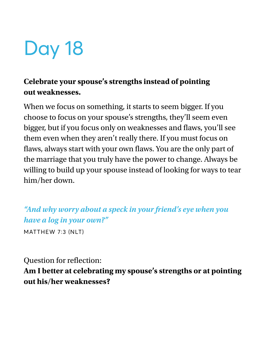### **Celebrate your spouse's strengths instead of pointing out weaknesses.**

When we focus on something, it starts to seem bigger. If you choose to focus on your spouse's strengths, they'll seem even bigger, but if you focus only on weaknesses and flaws, you'll see them even when they aren't really there. If you must focus on flaws, always start with your own flaws. You are the only part of the marriage that you truly have the power to change. Always be willing to build up your spouse instead of looking for ways to tear him/her down.

*"And why worry about a speck in your friend's eye when you have a log in your own?"*

MATTHEW 7∶3 (NLT)

Question for refection:

**Am I better at celebrating my spouse's strengths or at pointing out his/her weaknesses?**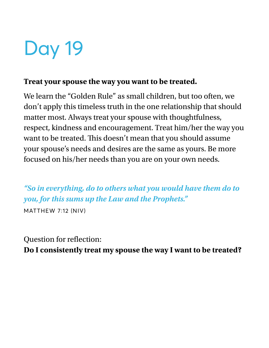#### **Treat your spouse the way you want to be treated.**

We learn the "Golden Rule" as small children, but too often, we don't apply this timeless truth in the one relationship that should matter most. Always treat your spouse with thoughtfulness, respect, kindness and encouragement. Treat him/her the way you want to be treated. This doesn't mean that you should assume your spouse's needs and desires are the same as yours. Be more focused on his/her needs than you are on your own needs.

*"So in everything, do to others what you would have them do to you, for this sums up the Law and the Prophets."* MATTHEW 7∶12 (NIV)

Question for reflection: **Do I consistently treat my spouse the way I want to be treated?**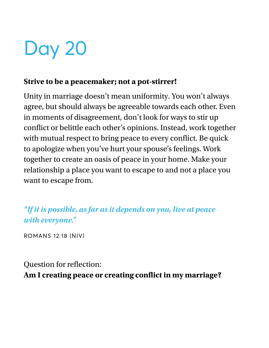#### **Strive to be a peacemaker; not a pot-stirrer!**

Unity in marriage doesn't mean uniformity. You won't always agree, but should always be agreeable towards each other. Even in moments of disagreement, don't look for ways to stir up confict or belittle each other's opinions. Instead, work together with mutual respect to bring peace to every confict. Be quick to apologize when you've hurt your spouse's feelings. Work together to create an oasis of peace in your home. Make your relationship a place you want to escape to and not a place you want to escape from.

*"If it is possible, as far as it depends on you, live at peace with everyone."*

ROMANS 12∶18 (NIV)

Question for reflection: **Am I creating peace or creating confict in my marriage?**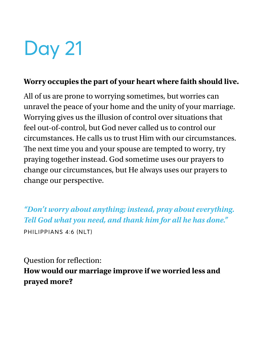#### **Worry occupies the part of your heart where faith should live.**

All of us are prone to worrying sometimes, but worries can unravel the peace of your home and the unity of your marriage. Worrying gives us the illusion of control over situations that feel out-of-control, but God never called us to control our circumstances. He calls us to trust Him with our circumstances. The next time you and your spouse are tempted to worry, try praying together instead. God sometime uses our prayers to change our circumstances, but He always uses our prayers to change our perspective.

*"Don't worry about anything; instead, pray about everything. Tell God what you need, and thank him for all he has done."* PHILIPPIANS 4∶6 (NLT)

Question for refection:

**How would our marriage improve if we worried less and prayed more?**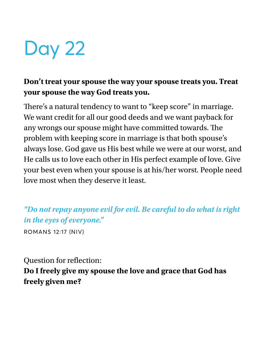### **Don't treat your spouse the way your spouse treats you. Treat your spouse the way God treats you.**

There's a natural tendency to want to "keep score" in marriage. We want credit for all our good deeds and we want payback for any wrongs our spouse might have committed towards. The problem with keeping score in marriage is that both spouse's always lose. God gave us His best while we were at our worst, and He calls us to love each other in His perfect example of love. Give your best even when your spouse is at his/her worst. People need love most when they deserve it least.

*"Do not repay anyone evil for evil. Be careful to do what is right in the eyes of everyone."*

ROMANS 12∶17 (NIV)

Question for reflection:

**Do I freely give my spouse the love and grace that God has freely given me?**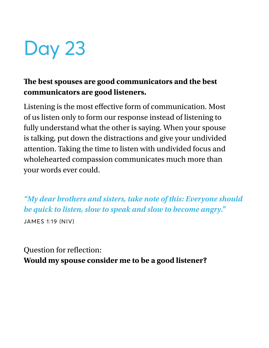### **Te best spouses are good communicators and the best communicators are good listeners.**

Listening is the most efective form of communication. Most of us listen only to form our response instead of listening to fully understand what the other is saying. When your spouse is talking, put down the distractions and give your undivided attention. Taking the time to listen with undivided focus and wholehearted compassion communicates much more than your words ever could.

*"My dear brothers and sisters, take note of this: Everyone should be quick to listen, slow to speak and slow to become angry."* JAMES 1∶19 (NIV)

Question for refection: **Would my spouse consider me to be a good listener?**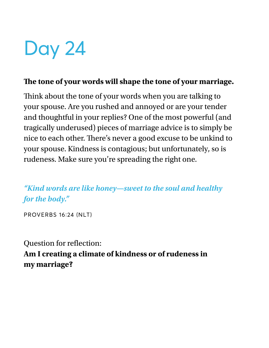#### The tone of your words will shape the tone of your marriage.

Think about the tone of your words when you are talking to your spouse. Are you rushed and annoyed or are your tender and thoughtful in your replies? One of the most powerful (and tragically underused) pieces of marriage advice is to simply be nice to each other. There's never a good excuse to be unkind to your spouse. Kindness is contagious; but unfortunately, so is rudeness. Make sure you're spreading the right one.

*"Kind words are like honey—sweet to the soul and healthy for the body."*

PROVERBS 16∶24 (NLT)

Question for reflection: **Am I creating a climate of kindness or of rudeness in my marriage?**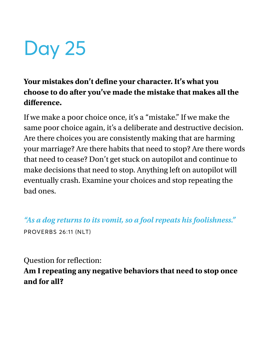### **Your mistakes don't defne your character. It's what you choose to do after you've made the mistake that makes all the diference.**

If we make a poor choice once, it's a "mistake." If we make the same poor choice again, it's a deliberate and destructive decision. Are there choices you are consistently making that are harming your marriage? Are there habits that need to stop? Are there words that need to cease? Don't get stuck on autopilot and continue to make decisions that need to stop. Anything left on autopilot will eventually crash. Examine your choices and stop repeating the bad ones.

*"As a dog returns to its vomit, so a fool repeats his foolishness."*  PROVERBS 26∶11 (NLT)

Question for refection:

#### **Am I repeating any negative behaviors that need to stop once and for all?**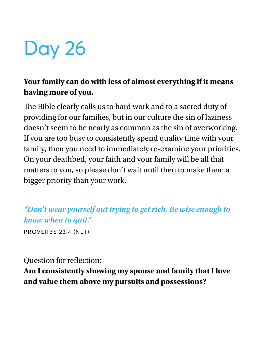### **Your family can do with less of almost everything if it means having more of you.**

The Bible clearly calls us to hard work and to a sacred duty of providing for our families, but in our culture the sin of laziness doesn't seem to be nearly as common as the sin of overworking. If you are too busy to consistently spend quality time with your family, then you need to immediately re-examine your priorities. On your deathbed, your faith and your family will be all that matters to you, so please don't wait until then to make them a bigger priority than your work.

### *"Don't wear yourself out trying to get rich. Be wise enough to know when to quit."*

PROVERBS 23∶4 (NLT)

Question for refection:

### **Am I consistently showing my spouse and family that I love and value them above my pursuits and possessions?**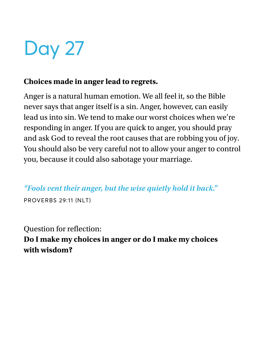#### **Choices made in anger lead to regrets.**

Anger is a natural human emotion. We all feel it, so the Bible never says that anger itself is a sin. Anger, however, can easily lead us into sin. We tend to make our worst choices when we're responding in anger. If you are quick to anger, you should pray and ask God to reveal the root causes that are robbing you of joy. You should also be very careful not to allow your anger to control you, because it could also sabotage your marriage.

*"Fools vent their anger, but the wise quietly hold it back."*

PROVERBS 29∶11 (NLT)

Question for reflection: **Do I make my choices in anger or do I make my choices with wisdom?**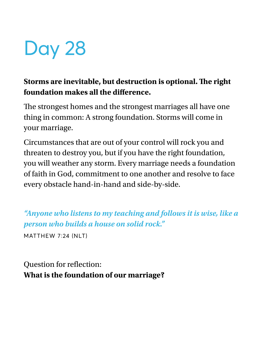### **Storms are inevitable, but destruction is optional. Te right foundation makes all the diference.**

The strongest homes and the strongest marriages all have one thing in common: A strong foundation. Storms will come in your marriage.

Circumstances that are out of your control will rock you and threaten to destroy you, but if you have the right foundation, you will weather any storm. Every marriage needs a foundation of faith in God, commitment to one another and resolve to face every obstacle hand-in-hand and side-by-side.

*"Anyone who listens to my teaching and follows it is wise, like a person who builds a house on solid rock."* MATTHEW 7∶24 (NLT)

Question for reflection: **What is the foundation of our marriage?**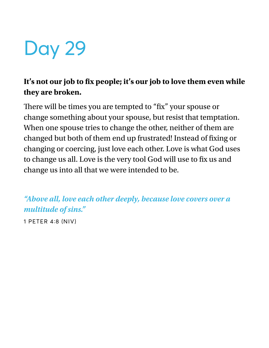## Day 29

### It's not our job to fix people; it's our job to love them even while **they are broken.**

There will be times you are tempted to "fix" your spouse or change something about your spouse, but resist that temptation. When one spouse tries to change the other, neither of them are changed but both of them end up frustrated! Instead of fixing or changing or coercing, just love each other. Love is what God uses to change us all. Love is the very tool God will use to fix us and change us into all that we were intended to be.

*"Above all, love each other deeply, because love covers over a multitude of sins."*

1 PETER 4∶8 (NIV)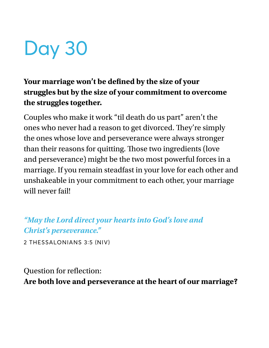# Day 30

#### **Your marriage won't be defned by the size of your struggles but by the size of your commitment to overcome the struggles together.**

Couples who make it work "til death do us part" aren't the ones who never had a reason to get divorced. They're simply the ones whose love and perseverance were always stronger than their reasons for quitting. Those two ingredients (love and perseverance) might be the two most powerful forces in a marriage. If you remain steadfast in your love for each other and unshakeable in your commitment to each other, your marriage will never fail!

*"May the Lord direct your hearts into God's love and Christ's perseverance."*

2 THESSALONIANS 3∶5 (NIV)

#### Question for reflection:

**Are both love and perseverance at the heart of our marriage?**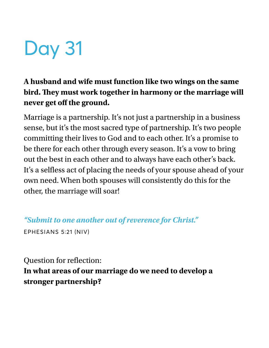## Day 31

### **A husband and wife must function like two wings on the same bird. Tey must work together in harmony or the marriage will never get of the ground.**

Marriage is a partnership. It's not just a partnership in a business sense, but it's the most sacred type of partnership. It's two people committing their lives to God and to each other. It's a promise to be there for each other through every season. It's a vow to bring out the best in each other and to always have each other's back. It's a selfless act of placing the needs of your spouse ahead of your own need. When both spouses will consistently do this for the other, the marriage will soar!

*"Submit to one another out of reverence for Christ."* EPHESIANS 5∶21 (NIV)

Question for reflection:

**In what areas of our marriage do we need to develop a stronger partnership?**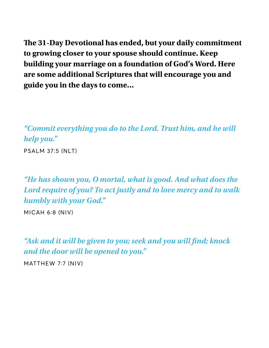**Te 31-Day Devotional has ended, but your daily commitment to growing closer to your spouse should continue. Keep building your marriage on a foundation of God's Word. Here are some additional Scriptures that will encourage you and guide you in the days to come…**

*"Commit everything you do to the Lord. Trust him, and he will help you."*

PSALM 37∶5 (NLT)

*"He has shown you, O mortal, what is good. And what does the Lord require of you? To act justly and to love mercy and to walk humbly with your God."* 

MICAH 6∶8 (NIV)

*"Ask and it will be given to you; seek and you will* **f***nd; knock and the door will be opened to you."* 

MATTHEW 7∶7 (NIV)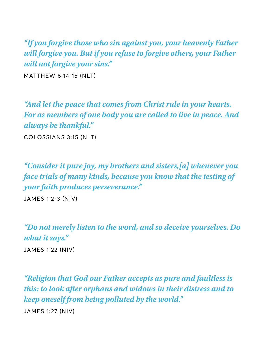*"If you forgive those who sin against you, your heavenly Father will forgive you. But if you refuse to forgive others, your Father will not forgive your sins."* 

MATTHEW 6∶14-15 (NLT)

*"And let the peace that comes from Christ rule in your hearts. For as members of one body you are called to live in peace. And always be thankful."* 

COLOSSIANS 3∶15 (NLT)

*"Consider it pure joy, my brothers and sisters,[a] whenever you face trials of many kinds, because you know that the testing of your faith produces perseverance."* 

JAMES 1∶2-3 (NIV)

*"Do not merely listen to the word, and so deceive yourselves. Do what it says."*  JAMES 1∶22 (NIV)

*"Religion that God our Father accepts as pure and faultless is this: to look after orphans and widows in their distress and to keep oneself from being polluted by the world."*  JAMES 1∶27 (NIV)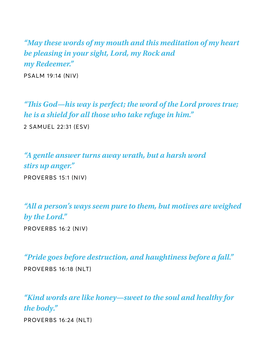*"May these words of my mouth and this meditation of my heart be pleasing in your sight, Lord, my Rock and my Redeemer."* 

PSALM 19∶14 (NIV)

*"***T***is God—his way is perfect; the word of the Lord proves true; he is a shield for all those who take refuge in him."* 2 SAMUEL 22∶31 (ESV)

*"A gentle answer turns away wrath, but a harsh word stirs up anger."*  PROVERBS 15∶1 (NIV)

*"All a person's ways seem pure to them, but motives are weighed by the Lord."*  PROVERBS 16∶2 (NIV)

*"Pride goes before destruction, and haughtiness before a fall."* 

PROVERBS 16∶18 (NLT)

*"Kind words are like honey—sweet to the soul and healthy for the body."* PROVERBS 16∶24 (NLT)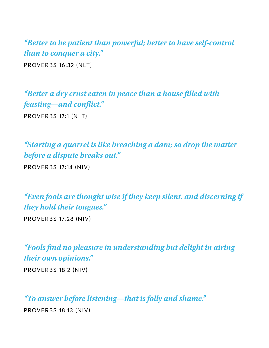*"Better to be patient than powerful; better to have self-control than to conquer a city."*  PROVERBS 16∶32 (NLT)

*"Better a dry crust eaten in peace than a house* **f***lled with feasting—and con***f***ict."*  PROVERBS 17∶1 (NLT)

*"Starting a quarrel is like breaching a dam; so drop the matter before a dispute breaks out."* 

PROVERBS 17∶14 (NIV)

*"Even fools are thought wise if they keep silent, and discerning if they hold their tongues."* 

PROVERBS 17∶28 (NIV)

*"Fools* **f***nd no pleasure in understanding but delight in airing their own opinions."* 

PROVERBS 18∶2 (NIV)

*"To answer before listening—that is folly and shame."* 

PROVERBS 18∶13 (NIV)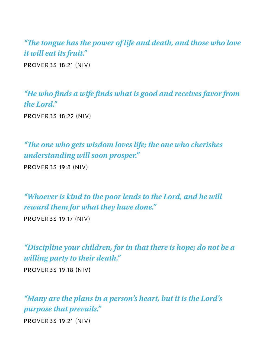*"***T***e tongue has the power of life and death, and those who love it will eat its fruit."*  PROVERBS 18∶21 (NIV)

*"He who* **f***nds a wife* **f***nds what is good and receives favor from the Lord."*  PROVERBS 18∶22 (NIV)

*"***T***e one who gets wisdom loves life; the one who cherishes understanding will soon prosper."* 

PROVERBS 19∶8 (NIV)

*"Whoever is kind to the poor lends to the Lord, and he will reward them for what they have done."* 

PROVERBS 19∶17 (NIV)

*"Discipline your children, for in that there is hope; do not be a willing party to their death."* 

PROVERBS 19∶18 (NIV)

*"Many are the plans in a person's heart, but it is the Lord's purpose that prevails."* 

PROVERBS 19∶21 (NIV)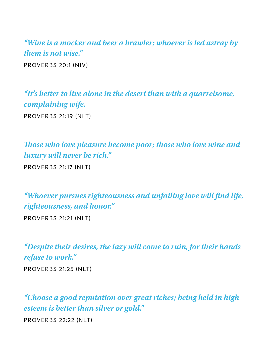*"Wine is a mocker and beer a brawler; whoever is led astray by them is not wise."*  PROVERBS 20∶1 (NIV)

*"It's better to live alone in the desert than with a quarrelsome, complaining wife.*

PROVERBS 21∶19 (NLT)

**T***ose who love pleasure become poor; those who love wine and luxury will never be rich."* 

PROVERBS 21∶17 (NLT)

*"Whoever pursues righteousness and unfailing love will* **f***nd life, righteousness, and honor."* 

PROVERBS 21∶21 (NLT)

*"Despite their desires, the lazy will come to ruin, for their hands refuse to work."*  PROVERBS 21∶25 (NLT)

*"Choose a good reputation over great riches; being held in high esteem is better than silver or gold."*  PROVERBS 22∶22 (NLT)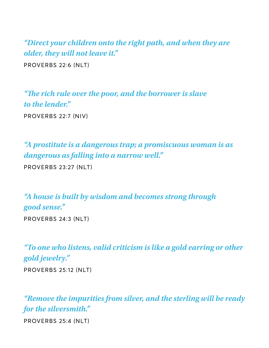*"Direct your children onto the right path, and when they are older, they will not leave it."*  PROVERBS 22∶6 (NLT)

*"***T***e rich rule over the poor, and the borrower is slave to the lender."*  PROVERBS 22∶7 (NIV)

*"A prostitute is a dangerous trap; a promiscuous woman is as dangerous as falling into a narrow well."* 

PROVERBS 23∶27 (NLT)

*"A house is built by wisdom and becomes strong through good sense."* 

PROVERBS 24∶3 (NLT)

*"To one who listens, valid criticism is like a gold earring or other gold jewelry."*  PROVERBS 25∶12 (NLT)

*"Remove the impurities from silver, and the sterling will be ready for the silversmith."* 

PROVERBS 25∶4 (NLT)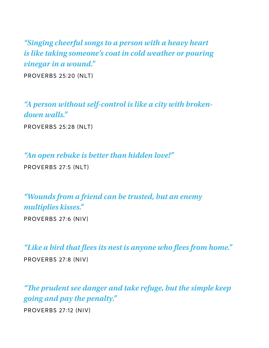*"Singing cheerful songs to a person with a heavy heart is like taking someone's coat in cold weather or pouring vinegar in a wound."* 

PROVERBS 25∶20 (NLT)

*"A person without self-control is like a city with brokendown walls."*  PROVERBS 25∶28 (NLT)

*"An open rebuke is better than hidden love!"*  PROVERBS 27∶5 (NLT)

*"Wounds from a friend can be trusted, but an enemy multiplies kisses."* 

PROVERBS 27∶6 (NIV)

*"Like a bird that* **f***ees its nest is anyone who* **f***ees from home."*  PROVERBS 27∶8 (NIV)

*"***T***e prudent see danger and take refuge, but the simple keep going and pay the penalty."* 

PROVERBS 27∶12 (NIV)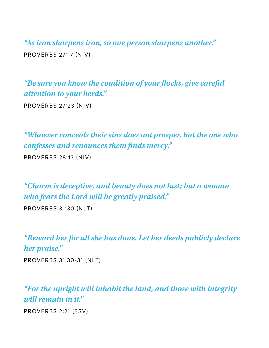*"As iron sharpens iron, so one person sharpens another."*  PROVERBS 27∶17 (NIV)

*"Be sure you know the condition of your* **f***ocks, give careful attention to your herds."* 

PROVERBS 27∶23 (NIV)

*"Whoever conceals their sins does not prosper, but the one who confesses and renounces them* **f***nds mercy."* 

PROVERBS 28∶13 (NIV)

*"Charm is deceptive, and beauty does not last; but a woman who fears the Lord will be greatly praised."* 

PROVERBS 31∶30 (NLT)

*"Reward her for all she has done. Let her deeds publicly declare her praise."* 

PROVERBS 31∶30-31 (NLT)

*"For the upright will inhabit the land, and those with integrity will remain in it."* 

PROVERBS 2∶21 (ESV)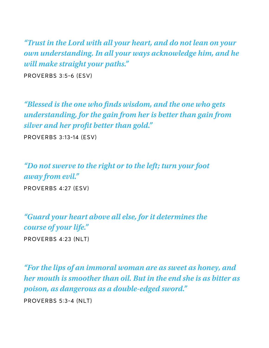*"Trust in the Lord with all your heart, and do not lean on your own understanding. In all your ways acknowledge him, and he will make straight your paths."* 

PROVERBS 3∶5-6 (ESV)

*"Blessed is the one who* **f***nds wisdom, and the one who gets understanding, for the gain from her is better than gain from silver and her pro***f***t better than gold."* 

PROVERBS 3∶13-14 (ESV)

*"Do not swerve to the right or to the left; turn your foot away from evil."*  PROVERBS 4∶27 (ESV)

*"Guard your heart above all else, for it determines the course of your life."*  PROVERBS 4∶23 (NLT)

*"For the lips of an immoral woman are as sweet as honey, and her mouth is smoother than oil. But in the end she is as bitter as poison, as dangerous as a double-edged sword."*  PROVERBS 5∶3-4 (NLT)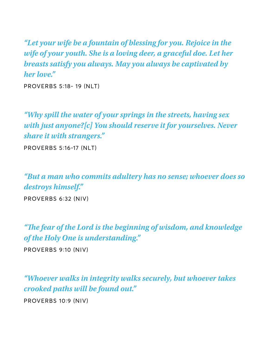*"Let your wife be a fountain of blessing for you. Rejoice in the wife of your youth. She is a loving deer, a graceful doe. Let her breasts satisfy you always. May you always be captivated by her love."* 

PROVERBS 5∶18- 19 (NLT)

*"Why spill the water of your springs in the streets, having sex with just anyone?[c] You should reserve it for yourselves. Never share it with strangers."* 

PROVERBS 5∶16-17 (NLT)

*"But a man who commits adultery has no sense; whoever does so destroys himself."* 

PROVERBS 6∶32 (NIV)

*"***T***e fear of the Lord is the beginning of wisdom, and knowledge of the Holy One is understanding."* 

PROVERBS 9∶10 (NIV)

*"Whoever walks in integrity walks securely, but whoever takes crooked paths will be found out."* 

PROVERBS 10∶9 (NIV)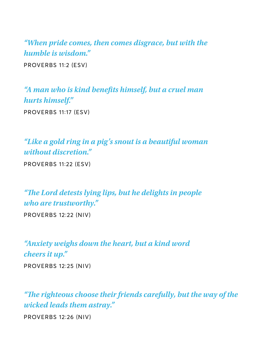*"When pride comes, then comes disgrace, but with the humble is wisdom."*  PROVERBS 11∶2 (ESV)

*"A man who is kind bene***f***ts himself, but a cruel man hurts himself."*  PROVERBS 11∶17 (ESV)

*"Like a gold ring in a pig's snout is a beautiful woman without discretion."* 

PROVERBS 11∶22 (ESV)

*"***T***e Lord detests lying lips, but he delights in people who are trustworthy."* 

PROVERBS 12∶22 (NIV)

*"Anxiety weighs down the heart, but a kind word cheers it up."*  PROVERBS 12∶25 (NIV)

*"***T***e righteous choose their friends carefully, but the way of the wicked leads them astray."* 

PROVERBS 12∶26 (NIV)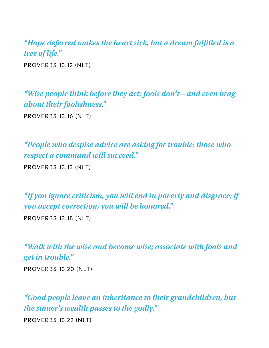*"Hope deferred makes the heart sick, but a dream ful***f***lled is a tree of life."*  PROVERBS 13∶12 (NLT)

*"Wise people think before they act; fools don't—and even brag about their foolishness."* 

PROVERBS 13∶16 (NLT)

*"People who despise advice are asking for trouble; those who respect a command will succeed."* 

PROVERBS 13∶13 (NLT)

*"If you ignore criticism, you will end in poverty and disgrace; if you accept correction, you will be honored."* 

PROVERBS 13∶18 (NLT)

*"Walk with the wise and become wise; associate with fools and get in trouble."*  PROVERBS 13∶20 (NLT)

*"Good people leave an inheritance to their grandchildren, but the sinner's wealth passes to the godly."*  PROVERBS 13∶22 (NLT)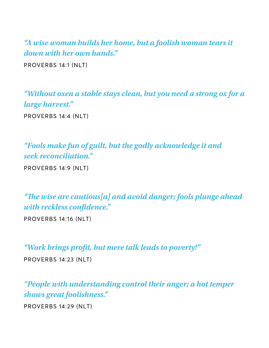*"A wise woman builds her home, but a foolish woman tears it down with her own hands."*  PROVERBS 14∶1 (NLT)

*"Without oxen a stable stays clean, but you need a strong ox for a large harvest."* 

PROVERBS 14∶4 (NLT)

*"Fools make fun of guilt, but the godly acknowledge it and seek reconciliation."* 

PROVERBS 14∶9 (NLT)

*"***T***e wise are cautious[a] and avoid danger; fools plunge ahead with reckless con***f***dence."* 

PROVERBS 14∶16 (NLT)

*"Work brings pro***f***t, but mere talk leads to poverty!"* 

PROVERBS 14∶23 (NLT)

*"People with understanding control their anger; a hot temper shows great foolishness."* 

PROVERBS 14∶29 (NLT)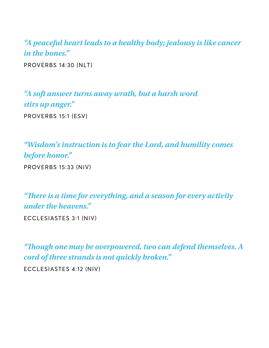*"A peaceful heart leads to a healthy body; jealousy is like cancer in the bones."* 

PROVERBS 14∶30 (NLT)

*"A soft answer turns away wrath, but a harsh word stirs up anger."*  PROVERBS 15∶1 (ESV)

*"Wisdom's instruction is to fear the Lord, and humility comes before honor."*  PROVERBS 15∶33 (NIV)

*"***T***ere is a time for everything, and a season for every activity under the heavens."* 

ECCLESIASTES 3∶1 (NIV)

*"***T***ough one may be overpowered, two can defend themselves. A cord of three strands is not quickly broken."*  ECCLESIASTES 4∶12 (NIV)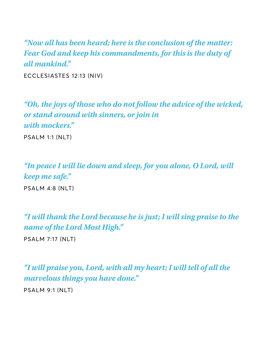*"Now all has been heard; here is the conclusion of the matter: Fear God and keep his commandments, for this is the duty of all mankind."* 

ECCLESIASTES 12∶13 (NIV)

*"Oh, the joys of those who do not follow the advice of the wicked, or stand around with sinners, or join in with mockers."* 

PSALM 1∶1 (NLT)

*"In peace I will lie down and sleep, for you alone, O Lord, will keep me safe."*  PSALM 4∶8 (NLT)

*"I will thank the Lord because he is just; I will sing praise to the name of the Lord Most High."*  PSALM 7∶17 (NLT)

*"I will praise you, Lord, with all my heart; I will tell of all the marvelous things you have done."* 

PSALM 9∶1 (NLT)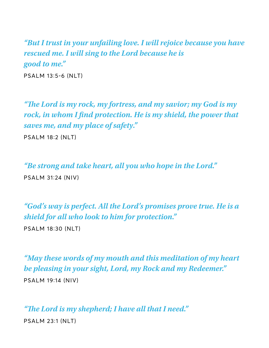*"But I trust in your unfailing love. I will rejoice because you have rescued me. I will sing to the Lord because he is good to me."* 

PSALM 13∶5-6 (NLT)

*"***T***e Lord is my rock, my fortress, and my savior; my God is my rock, in whom I* **f***nd protection. He is my shield, the power that saves me, and my place of safety."* 

PSALM 18∶2 (NLT)

*"Be strong and take heart, all you who hope in the Lord."*  PSALM 31∶24 (NIV)

*"God's way is perfect. All the Lord's promises prove true. He is a shield for all who look to him for protection."* 

PSALM 18∶30 (NLT)

*"May these words of my mouth and this meditation of my heart be pleasing in your sight, Lord, my Rock and my Redeemer."*  PSALM 19∶14 (NIV)

*"***T***e Lord is my shepherd; I have all that I need."*  PSALM 23∶1 (NLT)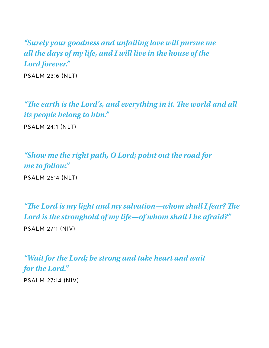*"Surely your goodness and unfailing love will pursue me all the days of my life, and I will live in the house of the Lord forever."* 

PSALM 23∶6 (NLT)

*"***T***e earth is the Lord's, and everything in it.* **T***e world and all its people belong to him."*  PSALM 24∶1 (NLT)

*"Show me the right path, O Lord; point out the road for me to follow."*  PSALM 25∶4 (NLT)

*"***T***e Lord is my light and my salvation—whom shall I fear?* **T***e Lord is the stronghold of my life—of whom shall I be afraid?"*  PSALM 27∶1 (NIV)

*"Wait for the Lord; be strong and take heart and wait for the Lord."* 

PSALM 27∶14 (NIV)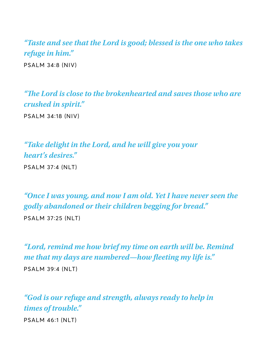*"Taste and see that the Lord is good; blessed is the one who takes refuge in him."*  PSALM 34∶8 (NIV)

*"***T***e Lord is close to the brokenhearted and saves those who are crushed in spirit."* 

PSALM 34∶18 (NIV)

*"Take delight in the Lord, and he will give you your heart's desires."*  PSALM 37∶4 (NLT)

*"Once I was young, and now I am old. Yet I have never seen the godly abandoned or their children begging for bread."* 

PSALM 37∶25 (NLT)

*"Lord, remind me how brief my time on earth will be. Remind me that my days are numbered—how fleeting my life is.*" PSALM 39∶4 (NLT)

*"God is our refuge and strength, always ready to help in times of trouble."* 

PSALM 46∶1 (NLT)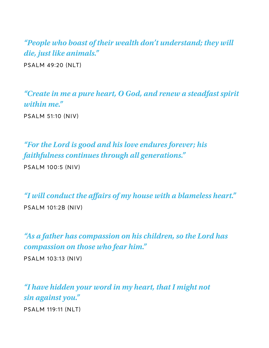*"People who boast of their wealth don't understand; they will die, just like animals."* 

PSALM 49∶20 (NLT)

*"Create in me a pure heart, O God, and renew a steadfast spirit within me."* 

PSALM 51∶10 (NIV)

*"For the Lord is good and his love endures forever; his faithfulness continues through all generations."* 

PSALM 100∶5 (NIV)

*"I will conduct the a***f***airs of my house with a blameless heart."*  PSALM 101∶2B (NIV)

*"As a father has compassion on his children, so the Lord has compassion on those who fear him."* 

PSALM 103∶13 (NIV)

*"I have hidden your word in my heart, that I might not sin against you."*  PSALM 119∶11 (NLT)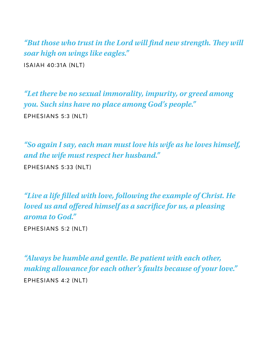*"But those who trust in the Lord will* **f***nd new strength.* **T***ey will soar high on wings like eagles."*  ISAIAH 40∶31A (NLT)

*"Let there be no sexual immorality, impurity, or greed among you. Such sins have no place among God's people."*  EPHESIANS 5∶3 (NLT)

*"So again I say, each man must love his wife as he loves himself, and the wife must respect her husband."* 

EPHESIANS 5∶33 (NLT)

*"Live a life* **f***lled with love, following the example of Christ. He loved us and o***f***ered himself as a sacri***f***ce for us, a pleasing aroma to God."* 

EPHESIANS 5∶2 (NLT)

*"Always be humble and gentle. Be patient with each other, making allowance for each other's faults because of your love."*  EPHESIANS 4∶2 (NLT)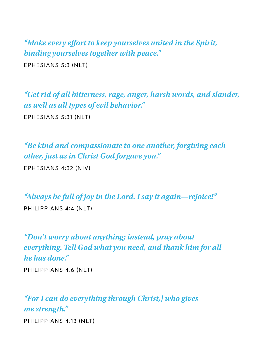*"Make every e***f***ort to keep yourselves united in the Spirit, binding yourselves together with peace."*  EPHESIANS 5∶3 (NLT)

*"Get rid of all bitterness, rage, anger, harsh words, and slander, as well as all types of evil behavior."*  EPHESIANS 5∶31 (NLT)

*"Be kind and compassionate to one another, forgiving each other, just as in Christ God forgave you."* 

EPHESIANS 4∶32 (NIV)

*"Always be full of joy in the Lord. I say it again—rejoice!"*  PHILIPPIANS 4∶4 (NLT)

*"Don't worry about anything; instead, pray about everything. Tell God what you need, and thank him for all he has done."* 

PHILIPPIANS 4∶6 (NLT)

*"For I can do everything through Christ,] who gives me strength."*  PHILIPPIANS 4∶13 (NLT)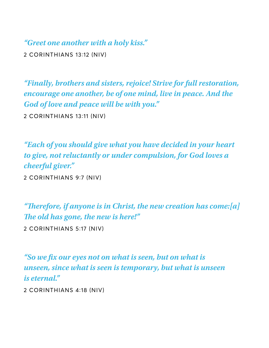*"Greet one another with a holy kiss."* 

2 CORINTHIANS 13∶12 (NIV)

*"Finally, brothers and sisters, rejoice! Strive for full restoration, encourage one another, be of one mind, live in peace. And the God of love and peace will be with you."* 

2 CORINTHIANS 13∶11 (NIV)

*"Each of you should give what you have decided in your heart to give, not reluctantly or under compulsion, for God loves a cheerful giver."* 

2 CORINTHIANS 9∶7 (NIV)

*"***T***erefore, if anyone is in Christ, the new creation has come:[a]*  **T***e old has gone, the new is here!"* 

2 CORINTHIANS 5∶17 (NIV)

*"So we* **f***x our eyes not on what is seen, but on what is unseen, since what is seen is temporary, but what is unseen is eternal."* 

2 CORINTHIANS 4∶18 (NIV)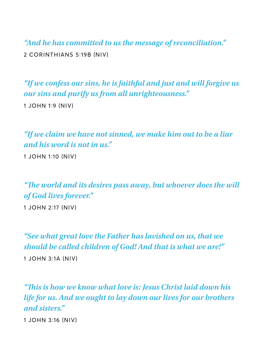*"And he has committed to us the message of reconciliation."*  2 CORINTHIANS 5∶19B (NIV)

*"If we confess our sins, he is faithful and just and will forgive us our sins and purify us from all unrighteousness."*  1 JOHN 1∶9 (NIV)

*"If we claim we have not sinned, we make him out to be a liar and his word is not in us."* 

1 JOHN 1∶10 (NIV)

*"***T***e world and its desires pass away, but whoever does the will of God lives forever."* 

1 JOHN 2∶17 (NIV)

*"See what great love the Father has lavished on us, that we should be called children of God! And that is what we are!"*  1 JOHN 3∶1A (NIV)

*"***T***is is how we know what love is: Jesus Christ laid down his life for us. And we ought to lay down our lives for our brothers and sisters."* 

1 JOHN 3∶16 (NIV)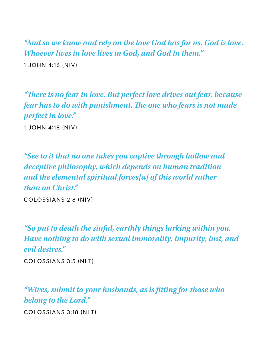*"And so we know and rely on the love God has for us. God is love. Whoever lives in love lives in God, and God in them."*  1 JOHN 4∶16 (NIV)

*"***T***ere is no fear in love. But perfect love drives out fear, because fear has to do with punishment.* **T***e one who fears is not made perfect in love."* 

1 JOHN 4∶18 (NIV)

*"See to it that no one takes you captive through hollow and deceptive philosophy, which depends on human tradition and the elemental spiritual forces[a] of this world rather than on Christ."* 

COLOSSIANS 2∶8 (NIV)

*"So put to death the sinful, earthly things lurking within you. Have nothing to do with sexual immorality, impurity, lust, and evil desires."* 

COLOSSIANS 3∶5 (NLT)

*"Wives, submit to your husbands, as is* **f***tting for those who belong to the Lord."* 

COLOSSIANS 3∶18 (NLT)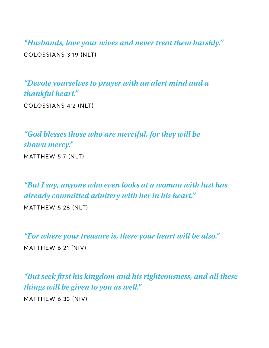*"Husbands, love your wives and never treat them harshly."*  COLOSSIANS 3∶19 (NLT)

*"Devote yourselves to prayer with an alert mind and a thankful heart."* 

COLOSSIANS 4∶2 (NLT)

*"God blesses those who are merciful, for they will be shown mercy."*  MATTHEW 5∶7 (NLT)

*"But I say, anyone who even looks at a woman with lust has already committed adultery with her in his heart."* 

MATTHEW 5∶28 (NLT)

*"For where your treasure is, there your heart will be also."*  MATTHEW 6∶21 (NIV)

*"But seek* **f***rst his kingdom and his righteousness, and all these things will be given to you as well."*  MATTHEW 6∶33 (NIV)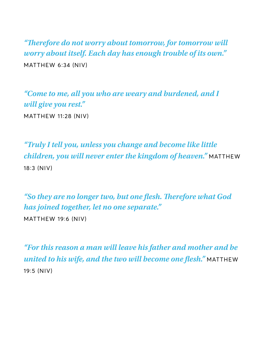*"***T***erefore do not worry about tomorrow, for tomorrow will worry about itself. Each day has enough trouble of its own."*  MATTHEW 6∶34 (NIV)

*"Come to me, all you who are weary and burdened, and I will give you rest."*  MATTHEW 11∶28 (NIV)

*"Truly I tell you, unless you change and become like little children, you will never enter the kingdom of heaven."* MATTHEW 18∶3 (NIV)

*"So they are no longer two, but one* **f***esh.* **T***erefore what God has joined together, let no one separate."* 

MATTHEW 19∶6 (NIV)

*"For this reason a man will leave his father and mother and be united to his wife, and the two will become one flesh.*" MATTHEW 19∶5 (NIV)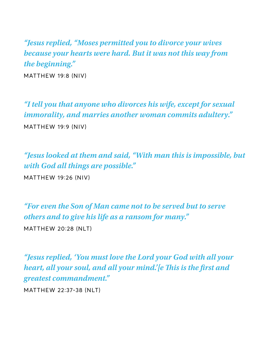*"Jesus replied, "Moses permitted you to divorce your wives because your hearts were hard. But it was not this way from the beginning."* 

MATTHEW 19∶8 (NIV)

*"I tell you that anyone who divorces his wife, except for sexual immorality, and marries another woman commits adultery."*  MATTHEW 19∶9 (NIV)

*"Jesus looked at them and said, "With man this is impossible, but with God all things are possible."*  MATTHEW 19∶26 (NIV)

*"For even the Son of Man came not to be served but to serve others and to give his life as a ransom for many."*  MATTHEW 20∶28 (NLT)

*"Jesus replied, 'You must love the Lord your God with all your heart, all your soul, and all your mind.'[e* **T***is is the* **f***rst and greatest commandment."* 

MATTHEW 22∶37-38 (NLT)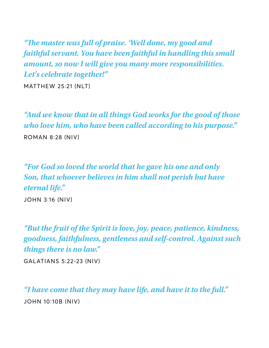*"***T***e master was full of praise. 'Well done, my good and faithful servant. You have been faithful in handling this small amount, so now I will give you many more responsibilities. Let's celebrate together!"* 

MATTHEW 25∶21 (NLT)

*"And we know that in all things God works for the good of those who love him, who have been called according to his purpose."* 

ROMAN 8∶28 (NIV)

*"For God so loved the world that he gave his one and only Son, that whoever believes in him shall not perish but have eternal life."* 

JOHN 3∶16 (NIV)

*"But the fruit of the Spirit is love, joy, peace, patience, kindness, goodness, faithfulness, gentleness and self-control. Against such things there is no law."* 

GALATIANS 5∶22-23 (NIV)

*"I have come that they may have life, and have it to the full."*  JOHN 10∶10B (NIV)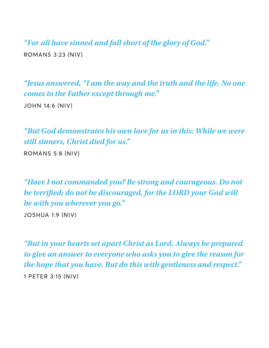*"For all have sinned and fall short of the glory of God."*  ROMANS 3∶23 (NIV)

*"Jesus answered, "I am the way and the truth and the life. No one comes to the Father except through me."*  JOHN 14∶6 (NIV)

*"But God demonstrates his own love for us in this: While we were still sinners, Christ died for us."* 

ROMANS 5∶8 (NIV)

*"Have I not commanded you? Be strong and courageous. Do not be terri***f***ed; do not be discouraged, for the LORD your God will be with you wherever you go."* 

JOSHUA 1∶9 (NIV)

*"But in your hearts set apart Christ as Lord. Always be prepared to give an answer to everyone who asks you to give the reason for the hope that you have. But do this with gentleness and respect."*  1 PETER 3∶15 (NIV)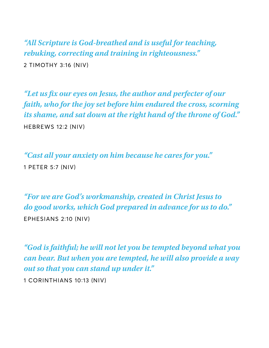*"All Scripture is God-breathed and is useful for teaching, rebuking, correcting and training in righteousness."*  2 TIMOTHY 3∶16 (NIV)

*"Let us* **f***x our eyes on Jesus, the author and perfecter of our faith, who for the joy set before him endured the cross, scorning its shame, and sat down at the right hand of the throne of God."*  HEBREWS 12∶2 (NIV)

*"Cast all your anxiety on him because he cares for you."*  1 PETER 5∶7 (NIV)

*"For we are God's workmanship, created in Christ Jesus to do good works, which God prepared in advance for us to do."*  EPHESIANS 2∶10 (NIV)

*"God is faithful; he will not let you be tempted beyond what you can bear. But when you are tempted, he will also provide a way out so that you can stand up under it."* 

1 CORINTHIANS 10∶13 (NIV)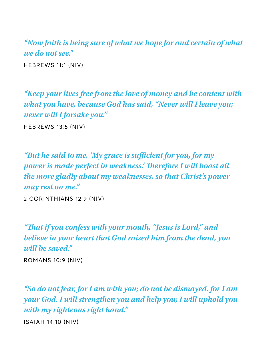*"Now faith is being sure of what we hope for and certain of what we do not see."*  HEBREWS 11∶1 (NIV)

*"Keep your lives free from the love of money and be content with what you have, because God has said, "Never will I leave you; never will I forsake you."*  HEBREWS 13∶5 (NIV)

*"But he said to me, 'My grace is su***f***cient for you, for my power is made perfect in weakness.' Therefore I will boast all the more gladly about my weaknesses, so that Christ's power may rest on me."* 

2 CORINTHIANS 12∶9 (NIV)

*"***T***at if you confess with your mouth, "Jesus is Lord," and believe in your heart that God raised him from the dead, you will be saved."* 

ROMANS 10∶9 (NIV)

*"So do not fear, for I am with you; do not be dismayed, for I am your God. I will strengthen you and help you; I will uphold you with my righteous right hand."* 

ISAIAH 14∶10 (NIV)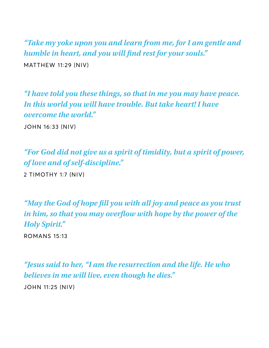*"Take my yoke upon you and learn from me, for I am gentle and humble in heart, and you will* **f***nd rest for your souls."*  MATTHEW 11∶29 (NIV)

*"I have told you these things, so that in me you may have peace. In this world you will have trouble. But take heart! I have overcome the world."* 

JOHN 16∶33 (NIV)

*"For God did not give us a spirit of timidity, but a spirit of power, of love and of self-discipline."* 

2 TIMOTHY 1∶7 (NIV)

*"May the God of hope* **f***ll you with all joy and peace as you trust in him, so that you may over***f***ow with hope by the power of the Holy Spirit."* 

ROMANS 15∶13

*"Jesus said to her, "I am the resurrection and the life. He who believes in me will live, even though he dies."*  JOHN 11∶25 (NIV)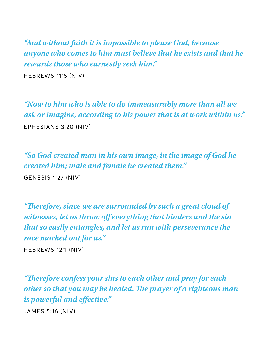*"And without faith it is impossible to please God, because anyone who comes to him must believe that he exists and that he rewards those who earnestly seek him."* 

HEBREWS 11∶6 (NIV)

*"Now to him who is able to do immeasurably more than all we ask or imagine, according to his power that is at work within us."*  EPHESIANS 3∶20 (NIV)

*"So God created man in his own image, in the image of God he created him; male and female he created them."*  GENESIS 1∶27 (NIV)

*"***T***erefore, since we are surrounded by such a great cloud of witnesses, let us throw o***f** *everything that hinders and the sin that so easily entangles, and let us run with perseverance the race marked out for us."* 

HEBREWS 12∶1 (NIV)

*"***T***erefore confess your sins to each other and pray for each other so that you may be healed.* **T***e prayer of a righteous man is powerful and e***f***ective."* 

JAMES 5∶16 (NIV)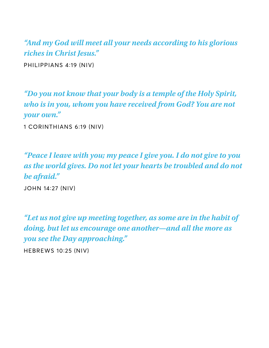*"And my God will meet all your needs according to his glorious riches in Christ Jesus."*  PHILIPPIANS 4∶19 (NIV)

*"Do you not know that your body is a temple of the Holy Spirit, who is in you, whom you have received from God? You are not your own."* 

1 CORINTHIANS 6∶19 (NIV)

*"Peace I leave with you; my peace I give you. I do not give to you as the world gives. Do not let your hearts be troubled and do not be afraid."* 

JOHN 14∶27 (NIV)

*"Let us not give up meeting together, as some are in the habit of doing, but let us encourage one another—and all the more as you see the Day approaching."* 

HEBREWS 10∶25 (NIV)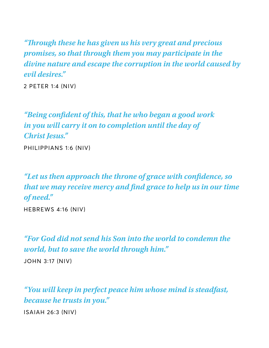*"***T***rough these he has given us his very great and precious promises, so that through them you may participate in the divine nature and escape the corruption in the world caused by evil desires."* 

2 PETER 1∶4 (NIV)

*"Being con***f***dent of this, that he who began a good work in you will carry it on to completion until the day of Christ Jesus."* 

PHILIPPIANS 1∶6 (NIV)

*"Let us then approach the throne of grace with con***f***dence, so that we may receive mercy and* **f***nd grace to help us in our time of need."* 

HEBREWS 4∶16 (NIV)

*"For God did not send his Son into the world to condemn the world, but to save the world through him."* 

JOHN 3∶17 (NIV)

*"You will keep in perfect peace him whose mind is steadfast, because he trusts in you."* 

ISAIAH 26∶3 (NIV)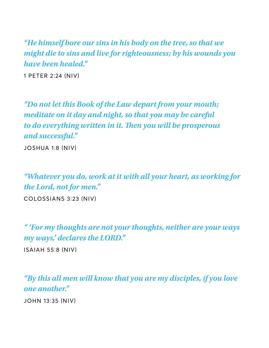*"He himself bore our sins in his body on the tree, so that we might die to sins and live for righteousness; by his wounds you have been healed."* 

1 PETER 2∶24 (NIV)

*"Do not let this Book of the Law depart from your mouth; meditate on it day and night, so that you may be careful to do everything written in it. Then you will be prosperous and successful."* 

JOSHUA 1∶8 (NIV)

*"Whatever you do, work at it with all your heart, as working for the Lord, not for men."* 

COLOSSIANS 3∶23 (NIV)

*" 'For my thoughts are not your thoughts, neither are your ways my ways,' declares the LORD."* 

ISAIAH 55∶8 (NIV)

*"By this all men will know that you are my disciples, if you love one another."* 

JOHN 13∶35 (NIV)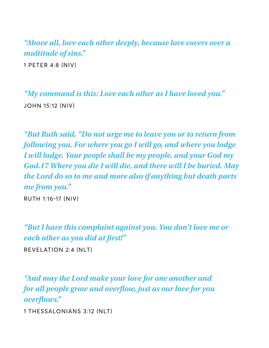*"Above all, love each other deeply, because love covers over a multitude of sins."*  1 PETER 4∶8 (NIV)

*"My command is this: Love each other as I have loved you."*  JOHN 15∶12 (NIV)

*"But Ruth said, "Do not urge me to leave you or to return from following you. For where you go I will go, and where you lodge I will lodge. Your people shall be my people, and your God my God.17 Where you die I will die, and there will I be buried. May the Lord do so to me and more also if anything but death parts me from you."* 

RUTH 1∶16-17 (NIV)

*"But I have this complaint against you. You don't love me or each other as you did at* **f***rst!"* 

REVELATION 2∶4 (NLT)

*"And may the Lord make your love for one another and for all people grow and over***f***ow, just as our love for you over***f***ows."* 

1 THESSALONIANS 3∶12 (NLT)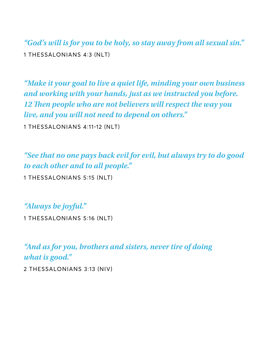*"God's will is for you to be holy, so stay away from all sexual sin."*  1 THESSALONIANS 4∶3 (NLT)

*"Make it your goal to live a quiet life, minding your own business and working with your hands, just as we instructed you before. 12* **T***en people who are not believers will respect the way you live, and you will not need to depend on others."* 

1 THESSALONIANS 4∶11-12 (NLT)

*"See that no one pays back evil for evil, but always try to do good to each other and to all people."* 

1 THESSALONIANS 5∶15 (NLT)

*"Always be joyful."* 

1 THESSALONIANS 5∶16 (NLT)

*"And as for you, brothers and sisters, never tire of doing what is good."* 

2 THESSALONIANS 3∶13 (NIV)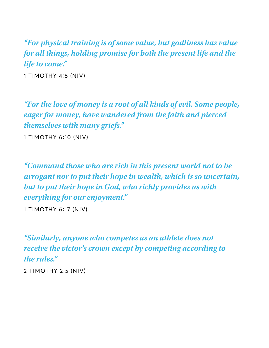*"For physical training is of some value, but godliness has value for all things, holding promise for both the present life and the life to come."* 

1 TIMOTHY 4∶8 (NIV)

*"For the love of money is a root of all kinds of evil. Some people, eager for money, have wandered from the faith and pierced themselves with many griefs."* 

1 TIMOTHY 6∶10 (NIV)

*"Command those who are rich in this present world not to be arrogant nor to put their hope in wealth, which is so uncertain, but to put their hope in God, who richly provides us with everything for our enjoyment."* 

1 TIMOTHY 6∶17 (NIV)

*"Similarly, anyone who competes as an athlete does not receive the victor's crown except by competing according to the rules."* 

2 TIMOTHY 2∶5 (NIV)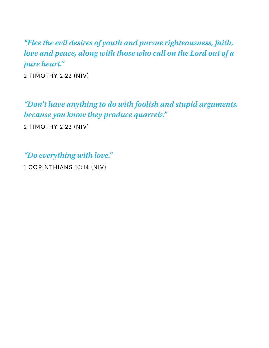*"Flee the evil desires of youth and pursue righteousness, faith, love and peace, along with those who call on the Lord out of a pure heart."* 

2 TIMOTHY 2∶22 (NIV)

*"Don't have anything to do with foolish and stupid arguments, because you know they produce quarrels."* 

2 TIMOTHY 2∶23 (NIV)

*"Do everything with love."* 

1 CORINTHIANS 16∶14 (NIV)